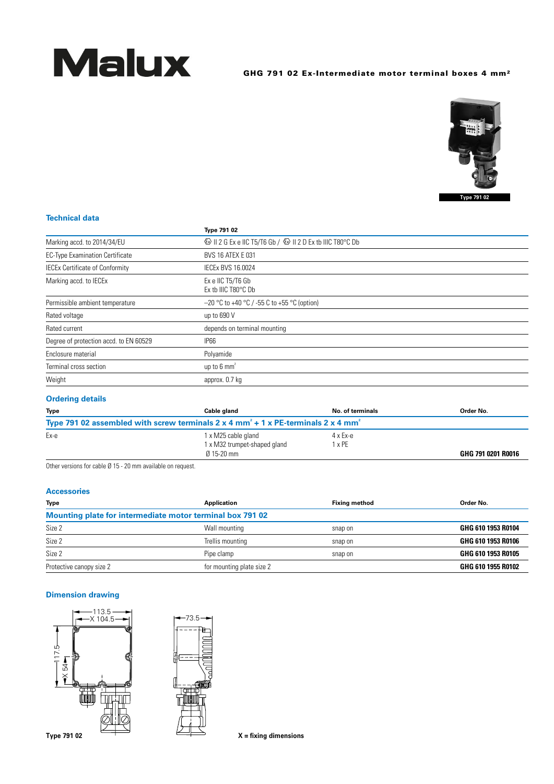

# GHG 791 02 Ex-Intermediate motor terminal boxes 4 mm<sup>2</sup>



#### **Technical data**

|                                        | Type 791 02                                                                        |
|----------------------------------------|------------------------------------------------------------------------------------|
| Marking accd. to 2014/34/EU            | <sup>43</sup> II 2 G Ex e IIC T5/T6 Gb / <sup>43</sup> II 2 D Ex tb IIIC T80 °C Db |
| <b>EC-Type Examination Certificate</b> | <b>BVS 16 ATEX E 031</b>                                                           |
| <b>IECEx Certificate of Conformity</b> | <b>IECEX BVS 16.0024</b>                                                           |
| Marking accd. to IECEx                 | Ex e IIC T5/T6 Gb<br>Ex tb IIIC T80°C Db                                           |
| Permissible ambient temperature        | $-20$ °C to +40 °C / -55 C to +55 °C (option)                                      |
| Rated voltage                          | up to 690 V                                                                        |
| Rated current                          | depends on terminal mounting                                                       |
| Degree of protection accd. to EN 60529 | IP66                                                                               |
| Enclosure material                     | Polyamide                                                                          |
| Terminal cross section                 | up to $6 \text{ mm}^2$                                                             |
| Weight                                 | approx. 0.7 kg                                                                     |

## **Ordering details**

| <b>Type</b> | Cable gland                                                                                               | No. of terminals | Order No.          |
|-------------|-----------------------------------------------------------------------------------------------------------|------------------|--------------------|
|             | Type 791 02 assembled with screw terminals 2 x 4 mm <sup>2</sup> + 1 x PE-terminals 2 x 4 mm <sup>2</sup> |                  |                    |
| Ex-e        | 1 x M25 cable gland                                                                                       | 4 x Ex-e         |                    |
|             | 1 x M32 trumpet-shaped gland                                                                              | 1 x PE           |                    |
|             | $0.15 - 20$ mm                                                                                            |                  | GHG 791 0201 R0016 |

Other versions for cable  $\emptyset$  15 - 20 mm available on request.

#### **Accessories**

| <b>Type</b>                                               | <b>Application</b>        | <b>Fixing method</b> | Order No.          |  |
|-----------------------------------------------------------|---------------------------|----------------------|--------------------|--|
| Mounting plate for intermediate motor terminal box 791 02 |                           |                      |                    |  |
| Size 2                                                    | Wall mounting             | snap on              | GHG 610 1953 R0104 |  |
| Size 2                                                    | Trellis mounting          | snap on              | GHG 610 1953 R0106 |  |
| Size 2                                                    | Pipe clamp                | snap on              | GHG 610 1953 R0105 |  |
| Protective canopy size 2                                  | for mounting plate size 2 |                      | GHG 610 1955 R0102 |  |

#### **Dimension drawing**





Type 791 02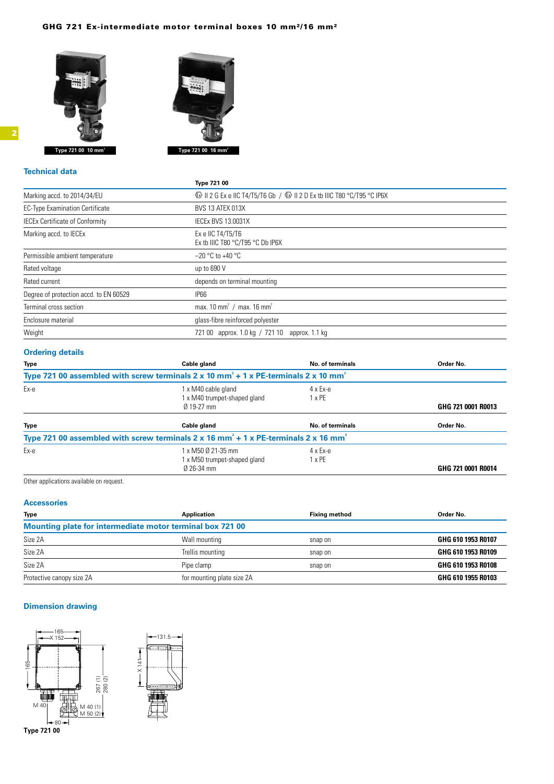#### GHG 721 Ex-intermediate motor terminal boxes 10 mm²/16 mm²





#### **Technical data**

|                                        | <b>Type 721 00</b>                                                                                       |
|----------------------------------------|----------------------------------------------------------------------------------------------------------|
| Marking accd. to 2014/34/EU            | $\circled{$ II 2 G Ex e IIC T4/T5/T6 Gb / $\circled{$ II 2 D Ex tb IIIC T80 $\circ$ C/T95 $\circ$ C IP6X |
| <b>EC-Type Examination Certificate</b> | <b>BVS 13 ATEX 013X</b>                                                                                  |
| <b>IECEx Certificate of Conformity</b> | <b>IECEX BVS 13.0031X</b>                                                                                |
| Marking accd. to IECEx                 | Ex e IIC T4/T5/T6<br>Ex tb IIIC T80 °C/T95 °C Db IP6X                                                    |
| Permissible ambient temperature        | $-20$ °C to +40 °C                                                                                       |
| Rated voltage                          | up to 690 V                                                                                              |
| Rated current                          | depends on terminal mounting                                                                             |
| Degree of protection accd. to EN 60529 | <b>IP66</b>                                                                                              |
| Terminal cross section                 | max. 10 mm <sup>2</sup> / max. 16 mm <sup>2</sup>                                                        |
| Enclosure material                     | glass-fibre reinforced polyester                                                                         |
| Weight                                 | 721 00 approx. 1.0 kg / 721 10 approx. 1.1 kg                                                            |

## **Ordering details**

| <b>Type</b>                                                                                                    | Cable gland                                                                                                 | No. of terminals        | Order No.          |
|----------------------------------------------------------------------------------------------------------------|-------------------------------------------------------------------------------------------------------------|-------------------------|--------------------|
|                                                                                                                | Type 721 00 assembled with screw terminals 2 x 10 mm <sup>2</sup> + 1 x PE-terminals 2 x 10 mm <sup>2</sup> |                         |                    |
| Ex-e                                                                                                           | 1 x M40 cable gland<br>1 x M40 trumpet-shaped gland                                                         | $4 \times Ex-e$<br>x PE |                    |
|                                                                                                                | $0.19 - 27$ mm                                                                                              |                         | GHG 721 0001 R0013 |
| <b>Type</b>                                                                                                    | Cable gland                                                                                                 | No. of terminals        | Order No.          |
|                                                                                                                | Type 721 00 assembled with screw terminals 2 x 16 mm <sup>2</sup> + 1 x PE-terminals 2 x 16 mm <sup>2</sup> |                         |                    |
| Ex-e                                                                                                           | 1 x M50 Ø 21-35 mm                                                                                          | $4 \times Ex-e$         |                    |
|                                                                                                                | 1 x M50 trumpet-shaped gland                                                                                | $x$ PE                  |                    |
|                                                                                                                | Ø 26-34 mm                                                                                                  |                         | GHG 721 0001 R0014 |
| Additional and the category are contributed as a second contribution of the second second second second second |                                                                                                             |                         |                    |

Other applications available on request.

#### **Accessories**

| <b>Type</b>               | Application                                               | <b>Fixing method</b> | Order No.          |
|---------------------------|-----------------------------------------------------------|----------------------|--------------------|
|                           | Mounting plate for intermediate motor terminal box 721 00 |                      |                    |
| Size 2A                   | Wall mounting                                             | snap on              | GHG 610 1953 R0107 |
| Size 2A                   | Trellis mounting                                          | snap on              | GHG 610 1953 R0109 |
| Size 2A                   | Pipe clamp                                                | snap on              | GHG 610 1953 R0108 |
| Protective canopy size 2A | for mounting plate size 2A                                |                      | GHG 610 1955 R0103 |

## **Dimension drawing**



**Type 721 00**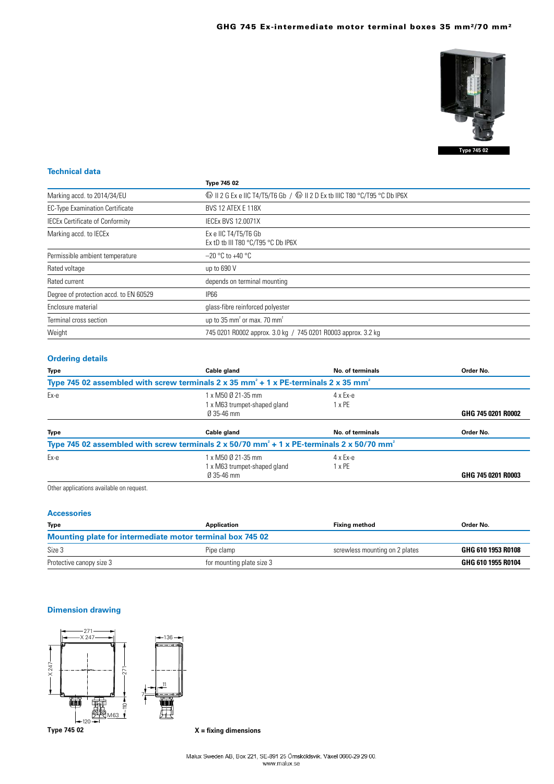

#### **Technical data**

|                                        | <b>Type 745 02</b>                                                                       |  |
|----------------------------------------|------------------------------------------------------------------------------------------|--|
| Marking accd. to 2014/34/EU            | <b> ⓒ</b> II 2 G Ex e IIC T4/T5/T6 Gb / <b>ⓒ</b> II 2 D Ex tb IIIC T80 °C/T95 °C Db IP6X |  |
| <b>EC-Type Examination Certificate</b> | <b>BVS 12 ATEX E 118X</b>                                                                |  |
| <b>IECEx Certificate of Conformity</b> | <b>IECEX BVS 12.0071X</b>                                                                |  |
| Marking accd. to IECEx                 | Ex e IIC T4/T5/T6 Gb<br>Ex tD tb III T80 $\degree$ C/T95 $\degree$ C Db IP6X             |  |
| Permissible ambient temperature        | $-20$ °C to +40 °C                                                                       |  |
| Rated voltage                          | up to 690 V                                                                              |  |
| Rated current                          | depends on terminal mounting                                                             |  |
| Degree of protection accd. to EN 60529 | <b>IP66</b>                                                                              |  |
| Enclosure material                     | glass-fibre reinforced polyester                                                         |  |
| Terminal cross section                 | up to 35 mm <sup>2</sup> or max. 70 mm <sup>2</sup>                                      |  |
| Weight                                 | 745 0201 R0002 approx. 3.0 kg / 745 0201 R0003 approx. 3.2 kg                            |  |

## **Ordering details**

| Cable gland                                                          | <b>No. of terminals</b>          | Order No.                                                                                                                                                                                                                                      |
|----------------------------------------------------------------------|----------------------------------|------------------------------------------------------------------------------------------------------------------------------------------------------------------------------------------------------------------------------------------------|
|                                                                      |                                  |                                                                                                                                                                                                                                                |
| 1 x M50 Ø 21-35 mm<br>1 x M63 trumpet-shaped gland<br>$0.35 - 46$ mm | $4 \times Ex-e$<br>1 x PE        | GHG 745 0201 R0002                                                                                                                                                                                                                             |
| Cable gland                                                          | No. of terminals                 | Order No.                                                                                                                                                                                                                                      |
|                                                                      |                                  |                                                                                                                                                                                                                                                |
| 1 x M50 Ø 21-35 mm<br>1 x M63 trumpet-shaped gland<br>Ø 35-46 mm     | $4 \times Ex-e$<br>$1 \times PE$ | GHG 745 0201 R0003                                                                                                                                                                                                                             |
|                                                                      |                                  | Type 745 02 assembled with screw terminals 2 x 35 mm <sup>2</sup> + 1 x PE-terminals 2 x 35 mm <sup>2</sup><br>Type 745 02 assembled with screw terminals $2 \times 50/70$ mm <sup>2</sup> + 1 x PE-terminals $2 \times 50/70$ mm <sup>2</sup> |

Other applications available on request.

#### **Accessories**

| <b>Type</b>                                               | Application               | <b>Fixing method</b>           | Order No.          |  |
|-----------------------------------------------------------|---------------------------|--------------------------------|--------------------|--|
| Mounting plate for intermediate motor terminal box 745 02 |                           |                                |                    |  |
| Size 3                                                    | Pipe clamp                | screwless mounting on 2 plates | GHG 610 1953 R0108 |  |
| Protective canopy size 3                                  | for mounting plate size 3 |                                | GHG 610 1955 R0104 |  |

## **Dimension drawing**



**X = fixing dimensions**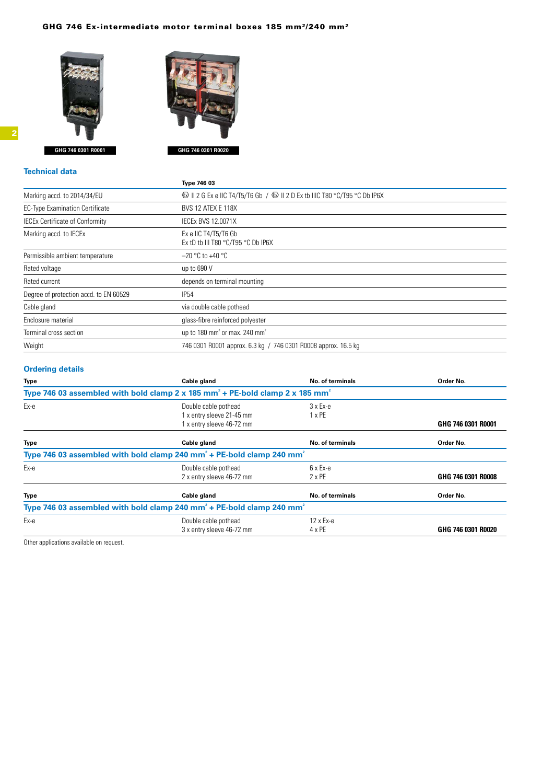#### GHG 746 Ex-intermediate motor terminal boxes 185 mm²/240 mm²





## **Technical data Type 746 03** Marking accd. to 2014/34/EU  $\bullet$  II 2 G Ex e IIC T4/T5/T6 Gb /  $\bullet$  II 2 D Ex tb IIIC T80 °C/T95 °C Db IP6X EC-Type Examination Certificate BVS 12 ATEX E 118X IECEx Certificate of Conformity IECEx BVS 12.0071X Marking accd. to IECEx Exe IIC T4/T5/T6 Gb Ex tD tb III T80 °C/T95 °C Db IP6X Permissible ambient temperature  $-20$  °C to +40 °C Rated voltage up to 690 V Rated current and the control of the depends on terminal mounting Degree of protection accd. to EN 60529 IP54

| Cable gland            | via double cable pothead                                       |  |
|------------------------|----------------------------------------------------------------|--|
| Enclosure material     | glass-fibre reinforced polyester                               |  |
| Terminal cross section | up to 180 mm <sup>2</sup> or max, 240 mm <sup>2</sup>          |  |
| Weight                 | 746 0301 R0001 approx. 6.3 kg / 746 0301 R0008 approx. 16.5 kg |  |

#### **Ordering details**

| <b>Type</b> | Cable gland                                                                                           | <b>No. of terminals</b>    | Order No.          |
|-------------|-------------------------------------------------------------------------------------------------------|----------------------------|--------------------|
|             | Type 746 03 assembled with bold clamp 2 x 185 mm <sup>2</sup> + PE-bold clamp 2 x 185 mm <sup>2</sup> |                            |                    |
| Ex-e        | Double cable pothead<br>1 x entry sleeve 21-45 mm<br>1 x entry sleeve 46-72 mm                        | $3x Ex-e$<br>$1 \times PE$ | GHG 746 0301 R0001 |
| <b>Type</b> | Cable gland                                                                                           | <b>No. of terminals</b>    | Order No.          |
|             | Type 746 03 assembled with bold clamp 240 mm <sup>2</sup> + PE-bold clamp 240 mm <sup>2</sup>         |                            |                    |
| Ex-e        | Double cable pothead<br>2 x entry sleeve 46-72 mm                                                     | 6 x Ex-e<br>$2 \times PE$  | GHG 746 0301 R0008 |
| <b>Type</b> | Cable gland                                                                                           | <b>No. of terminals</b>    | Order No.          |
|             | Type 746 03 assembled with bold clamp 240 mm <sup>2</sup> + PE-bold clamp 240 mm <sup>2</sup>         |                            |                    |
| Eх-е        | Double cable pothead<br>3 x entry sleeve 46-72 mm                                                     | $12 \times Ex-e$<br>4 x PE | GHG 746 0301 R0020 |

Other applications available on request.